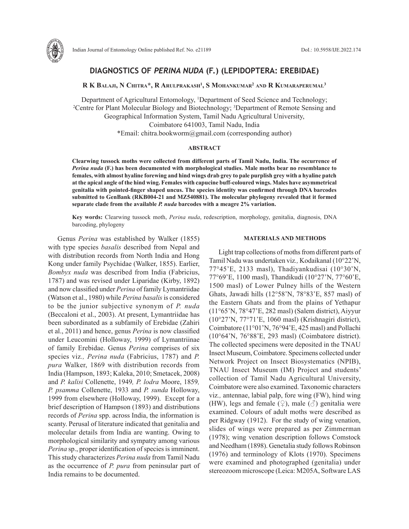

# **DIAGNOSTICS OF** *PERINA NUDA* **(F.) (LEPIDOPTERA: EREBIDAE)**

**R K Balaji, N Chitra\*, R Arulprakash1 , S Mohankumar2 and R Kumaraperumal3**

Department of Agricultural Entomology, <sup>1</sup>Department of Seed Science and Technology;<br><sup>2</sup>Centre for Plant Molecular Biology and Biotechnology: <sup>3</sup>Department of Remote Sensing at Centre for Plant Molecular Biology and Biotechnology; <sup>3</sup>Department of Remote Sensing and Geographical Information System, Tamil Nadu Agricultural University, Coimbatore 641003, Tamil Nadu, India \*Email: chitra.bookworm@gmail.com (corresponding author)

#### **ABSTRACT**

**Clearwing tussock moths were collected from different parts of Tamil Nadu, India. The occurrence of**  *Perina nuda* **(F.) has been documented with morphological studies. Male moths bear no resemblance to females, with almost hyaline forewing and hind wings drab grey to pale purplish grey with a hyaline patch at the apical angle of the hind wing. Females with capucine buff-coloured wings. Males have asymmetrical genitalia with pointed-finger shaped uncus. The species identity was confirmed through DNA barcodes submitted to GenBank (RKB004-21 and MZ540881). The molecular phylogeny revealed that it formed separate clade from the available** *P. nuda* **barcodes with a meagre 2% variation.**

**Key words:** Clearwing tussock moth, *Perina nuda*, redescription, morphology, genitalia, diagnosis, DNA barcoding, phylogeny

Genus *Perina* was established by Walker (1855) with type species *basalis* described from Nepal and with distribution records from North India and Hong Kong under family Psychidae (Walker, 1855). Earlier, *Bombyx nuda* was described from India (Fabricius, 1787) and was revised under Liparidae (Kirby, 1892) and now classified under *Perina* of family Lymantriidae (Watson et al., 1980) while *Perina basalis* is considered to be the junior subjective synonym of *P. nuda* (Beccaloni et al., 2003). At present, Lymantriidae has been subordinated as a subfamily of Erebidae (Zahiri et al., 2011) and hence, genus *Perina* is now classified under Leucomini (Holloway, 1999) of Lymantriinae of family Erebidae. Genus *Perina* comprises of six species viz*., Perina nuda* (Fabricius, 1787) and *P. pura* Walker, 1869 with distribution records from India (Hampson, 1893; Kaleka, 2010; Smetacek, 2008) and *P. kalisi* Collenette, 1949*, P. lodra* Moore, 1859*, P. psamma* Collenette, 1933 and *P. sunda* Holloway, 1999 from elsewhere (Holloway, 1999). Except for a brief description of Hampson (1893) and distributions records of *Perina* spp. across India, the information is scanty. Perusal of literature indicated that genitalia and molecular details from India are wanting. Owing to morphological similarity and sympatry among various *Perina* sp., proper identification of species is imminent. This study characterizes *Perina nuda* from Tamil Nadu as the occurrence of *P. pura* from peninsular part of India remains to be documented.

### **MATERIALS AND METHODS**

Light trap collections of moths from different parts of Tamil Nadu was undertaken viz*.,* Kodaikanal (10°22'N, 77°45'E, 2133 masl), Thadiyankudisai (10°30'N, 77°69'E, 1100 masl), Thandikudi (10°27'N, 77°60'E, 1500 masl) of Lower Pulney hills of the Western Ghats, Jawadi hills (12°58'N, 78°83'E, 857 masl) of the Eastern Ghats and from the plains of Yethapur (11°65'N, 78°47'E, 282 masl) (Salem district), Aiyyur (10°27'N, 77°71'E, 1060 masl) (Krishnagiri district), Coimbatore (11°01'N, 76°94'E, 425 masl) and Pollachi (10°64'N, 76°88'E, 293 masl) (Coimbatore district). The collected specimens were deposited in the TNAU Insect Museum, Coimbatore. Specimens collected under Network Project on Insect Biosystematics (NPIB), TNAU Insect Museum (IM) Project and students' collection of Tamil Nadu Agricultural University, Coimbatore were also examined. Taxonomic characters viz*.,* antennae, labial palp, fore wing (FW), hind wing (HW), legs and female  $(\circled{2})$ , male  $(\circlearrowleft)$  genitalia were examined. Colours of adult moths were described as per Ridgway (1912). For the study of wing venation, slides of wings were prepared as per Zimmerman (1978); wing venation description follows Comstock and Needham (1898). Genetalia study follows Robinson (1976) and terminology of Klots (1970). Specimens were examined and photographed (genitalia) under stereozoom microscope (Leica: M205A, Software LAS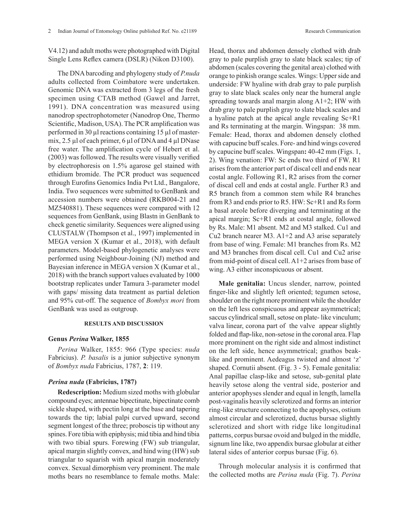V4.12) and adult moths were photographed with Digital Single Lens Reflex camera (DSLR) (Nikon D3100).

The DNA barcoding and phylogeny study of *P.nuda* adults collected from Coimbatore were undertaken. Genomic DNA was extracted from 3 legs of the fresh specimen using CTAB method (Gawel and Jarret, 1991). DNA concentration was measured using nanodrop spectrophotometer (Nanodrop One, Thermo Scientific, Madison, USA). The PCR amplification was performed in 30 µl reactions containing 15 µl of mastermix, 2.5 µl of each primer, 6 µl of DNA and 4 µl DNase free water. The amplification cycle of Hebert et al. (2003) was followed. The results were visually verified by electrophoresis on 1.5% agarose gel stained with ethidium bromide. The PCR product was sequenced through Eurofins Genomics India Pvt Ltd., Bangalore, India. Two sequences were submitted to GenBank and accession numbers were obtained (RKB004-21 and MZ540881). These sequences were compared with 12 sequences from GenBank, using Blastn in GenBank to check genetic similarity. Sequences were aligned using CLUSTALW (Thompson et al., 1997) implemented in MEGA version X (Kumar et al., 2018), with default parameters. Model-based phylogenetic analyses were performed using Neighbour-Joining (NJ) method and Bayesian inference in MEGA version X (Kumar et al., 2018) with the branch support values evaluated by 1000 bootstrap replicates under Tamura 3-parameter model with gaps/ missing data treatment as partial deletion and 95% cut-off. The sequence of *Bombyx mori* from GenBank was used as outgroup.

# **RESULTS AND DISCUSSION**

# **Genus** *Perina* **Walker, 1855**

*Perina* Walker, 1855: 966 (Type species: *nuda* Fabricius). *P. basalis* is a junior subjective synonym of *Bombyx nuda* Fabricius, 1787, **2**: 119.

# *Perina nuda* **(Fabricius, 1787)**

**Redescription:** Medium sized moths with globular compound eyes; antennae bipectinate, bipectinate comb sickle shaped, with pectin long at the base and tapering towards the tip; labial palpi curved upward, second segment longest of the three; proboscis tip without any spines. Fore tibia with epiphysis; mid tibia and hind tibia with two tibial spurs. Forewing (FW) sub triangular, apical margin slightly convex, and hind wing (HW) sub triangular to squarish with apical margin moderately convex. Sexual dimorphism very prominent. The male moths bears no resemblance to female moths. Male:

Head, thorax and abdomen densely clothed with drab gray to pale purplish gray to slate black scales; tip of abdomen (scales covering the genital area) clothed with orange to pinkish orange scales. Wings: Upper side and underside: FW hyaline with drab gray to pale purplish gray to slate black scales only near the humeral angle spreading towards anal margin along A1+2; HW with drab gray to pale purplish gray to slate black scales and a hyaline patch at the apical angle revealing Sc+R1 and Rs terminating at the margin. Wingspan: 38 mm. Female: Head, thorax and abdomen densely clothed with capucine buff scales. Fore- and hind wings covered by capucine buff scales. Wingspan**:** 40-42 mm (Figs. 1, 2). Wing venation: FW: Sc ends two third of FW. R1 arises from the anterior part of discal cell and ends near costal angle. Following R1, R2 arises from the corner of discal cell and ends at costal angle. Further R3 and R5 branch from a common stem while R4 branches from R3 and ends prior to R5. HW: Sc+R1 and Rs form a basal areole before diverging and terminating at the apical margin; Sc+R1 ends at costal angle, followed by Rs. Male: M1 absent. M2 and M3 stalked. Cu1 and Cu2 branch nearer M3. A1+2 and A3 arise separately from base of wing. Female: M1 branches from Rs. M2 and M3 branches from discal cell. Cu1 and Cu2 arise from mid-point of discal cell. A1+2 arises from base of wing. A3 either inconspicuous or absent.

**Male genitalia:** Uncus slender, narrow, pointed finger-like and slightly left oriented; tegumen setose, shoulder on the right more prominent while the shoulder on the left less conspicuous and appear asymmetrical; saccus cylindrical small, setose on plate- like vinculum; valva linear, corona part of the valve appear slightly folded and flap-like, non-setose in the coronal area. Flap more prominent on the right side and almost indistinct on the left side, hence asymmetrical; gnathos beaklike and prominent. Aedeagus twisted and almost 'z' shaped. Cornutii absent. (Fig. 3 - 5). Female genitalia: Anal papillae clasp-like and setose, sub-genital plate heavily setose along the ventral side, posterior and anterior apophyses slender and equal in length, lamella post-vaginalis heavily sclerotized and forms an interior ring-like structure connecting to the apophyses, ostium almost circular and sclerotized, ductus bursae slightly sclerotized and short with ridge like longitudinal patterns, corpus bursae ovoid and bulged in the middle, signum line like, two appendix bursae globular at either lateral sides of anterior corpus bursae (Fig. 6).

Through molecular analysis it is confirmed that the collected moths are *Perina nuda* (Fig. 7). *Perina*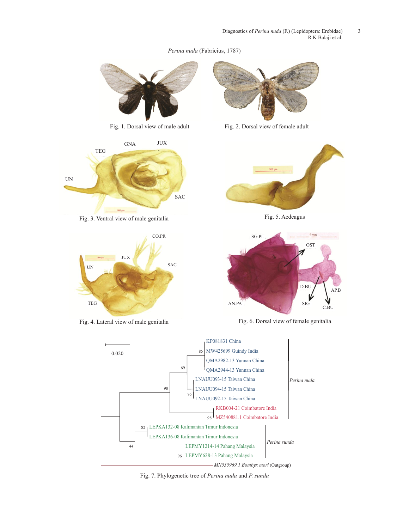*Perina nuda* (Fabricius, 1787)





Fig. 3. Ventral view of male genitalia



Fig. 4. Lateral view of male genitalia



Fig. 1. Dorsal view of male adult Fig. 2. Dorsal view of female adult



Fig. 5. Aedeagus



Fig. 6. Dorsal view of female genitalia



Fig. 7. Phylogenetic tree of *Perina nuda* and *P. sunda*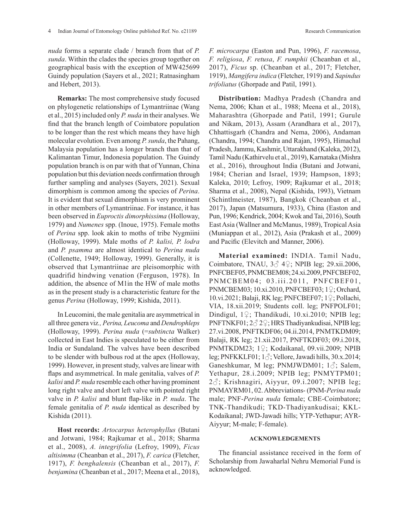*nuda* forms a separate clade / branch from that of *P. sunda*. Within the clades the species group together on geographical basis with the exception of MW425699 Guindy population (Sayers et al., 2021; Ratnasingham and Hebert, 2013).

**Remarks:** The most comprehensive study focused on phylogenetic relationships of Lymantriinae (Wang et al., 2015) included only *P. nuda* in their analyses. We find that the branch length of Coimbatore population to be longer than the rest which means they have high molecular evolution. Even among *P. sunda*, the Pahang, Malaysia population has a longer branch than that of Kalimantan Timur, Indonesia population. The Guindy population branch is on par with that of Yunnan, China population but this deviation needs confirmation through further sampling and analyses (Sayers, 2021). Sexual dimorphism is common among the species of *Perina*. It is evident that sexual dimorphism is very prominent in other members of Lymantriinae. For instance, it has been observed in *Euproctis dimorphissima* (Holloway, 1979) and *Numenes* spp. (Inoue, 1975). Female moths of *Perina* spp. look akin to moths of tribe Nygmiini (Holloway, 1999). Male moths of *P. kalisi, P. lodra* and *P. psamma* are almost identical to *Perina nuda*  (Collenette, 1949; Holloway, 1999). Generally, it is observed that Lymantriinae are pleisomorphic with quadrifid hindwing venation (Ferguson, 1978). In addition, the absence of M1in the HW of male moths as in the present study is a characteristic feature for the genus *Perina* (Holloway, 1999; Kishida, 2011).

In Leucomini, the male genitalia are asymmetrical in all three genera viz*., Perina, Leucoma* and *Dendrophleps* (Holloway, 1999). *Perina nuda* (=*subtincta* Walker) collected in East Indies is speculated to be either from India or Sundaland. The valves have been described to be slender with bulbous rod at the apex (Holloway, 1999). However, in present study, valves are linear with flaps and asymmetrical. In male genitalia, valves of *P. kalisi* and *P. nuda* resemble each other having prominent long right valve and short left valve with pointed right valve in *P. kalisi* and blunt flap-like in *P. nuda*. The female genitalia of *P. nuda* identical as described by Kishida (2011).

**Host records:** *Artocarpus heterophyllus* (Butani and Jotwani, 1984; Rajkumar et al., 2018; Sharma et al., 2008), *A. integrifolia* (Lefroy, 1909), *Ficus altisimma* (Cheanban et al., 2017), *F. carica* (Fletcher, 1917), *F. benghalensis* (Cheanban et al., 2017), *F. benjamina* (Cheanban et al., 2017; Meena et al., 2018),

*F. microcarpa* (Easton and Pun, 1996), *F. racemosa*, *F. religiosa*, *F. retusa*, *F. rumphii* (Cheanban et al., 2017), *Ficus* sp. (Cheanban et al., 2017; Fletcher, 1919), *Mangifera indica* (Fletcher, 1919) and *Sapindus trifoliatus* (Ghorpade and Patil, 1991).

**Distribution:** Madhya Pradesh (Chandra and Nema, 2006; Khan et al., 1988; Meena et al., 2018), Maharashtra (Ghorpade and Patil, 1991; Gurule and Nikam, 2013), Assam (Arandhara et al., 2017), Chhattisgarh (Chandra and Nema, 2006), Andaman (Chandra, 1994; Chandra and Rajan, 1995), Himachal Pradesh, Jammu, Kashmir, Uttarakhand (Kaleka, 2012), Tamil Nadu (Kathirvelu et al., 2019), Karnataka (Mishra et al., 2016), throughout India (Butani and Jotwani, 1984; Cherian and Israel, 1939; Hampson, 1893; Kaleka, 2010; Lefroy, 1909; Rajkumar et al., 2018; Sharma et al., 2008), Nepal (Kishida, 1993), Vietnam (Schintlmeister, 1987), Bangkok (Cheanban et al., 2017), Japan (Matsumura, 1933), China (Easton and Pun, 1996; Kendrick, 2004; Kwok and Tai, 2016), South East Asia (Wallner and McManus, 1989), Tropical Asia (Muniappan et al., 2012), Asia (Prakash et al., 2009) and Pacific (Elevitch and Manner, 2006).

**Material examined:** INDIA. Tamil Nadu, Coimbatore, TNAU,  $3\delta$  4 $\circ$ ; NPIB leg; 29.xii.2006, PNFCBEF05, PNMCBEM08; 24.xi.2009, PNFCBEF02, P N M C B E M 0 4; 0 3 . i i i . 2 0 1 1, P N F C B E F 0 1, PNMCBEM03; 10.xi.2010, PNFCBEF03; 1♀; Orchard, 10.vi.2021; Balaji, RK leg; PNFCBEF07; 1♀; Pollachi, VIA, 18.xii.2019; Students coll. leg; PNFPOLF01; Dindigul, 1♀; Thandikudi, 10.xi.2010; NPIB leg; PNFTNKF01; 2♂ 2♀; HRS Thadiyankudisai, NPIB leg; 27.vi.2008, PNFTKDF06; 04.ii.2014, PNMTKDM09; Balaji, RK leg; 21.xii.2017, PNFTKDF03; 09.i.2018, PNMTKDM23; 1♀; Kodaikanal, 09.vii.2009; NPIB leg; PNFKKLF01; 1♂; Vellore, Jawadi hills, 30.x.2014; Ganeshkumar, M leg; PNMJWDM01; 13; Salem, Yethapur, 28.i.2009; NPIB leg; PNMYTPM01; 2♂; Krishnagiri, Aiyyur, 09.i.2007; NPIB leg; PNMAYRM01, 02. Abbreviations- (PNM-*Perina nuda* male; PNF-*Perina nuda* female; CBE-Coimbatore; TNK-Thandikudi; TKD-Thadiyankudisai; KKL-Kodaikanal; JWD-Jawadi hills; YTP-Yethapur; AYR-Aiyyur; M-male; F-female).

### **ACKNOWLEDGEMENTS**

The financial assistance received in the form of Scholarship from Jawaharlal Nehru Memorial Fund is acknowledged.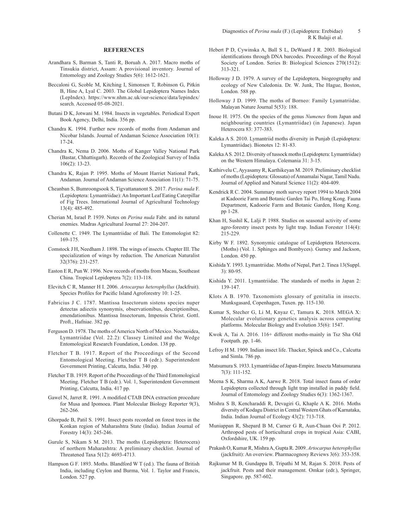#### **REFERENCES**

- Arandhara S, Barman S, Tanti R, Boruah A. 2017. Macro moths of Tinsukia district, Assam: A provisional inventory. Journal of Entomology and Zoology Studies 5(6): 1612-1621.
- Beccaloni G, Scoble M, Kitching I, Simonsen T, Robinson G, Pitkin B, Hine A, Lyal C. 2003. The Global Lepidoptera Names Index (LepIndex). https://www.nhm.ac.uk/our-science/data/lepindex/ search. Accessed 05-08-2021.
- Butani D K, Jotwani M. 1984. Insects in vegetables. Periodical Expert Book Agency, Delhi, India. 356 pp.
- Chandra K. 1994. Further new records of moths from Andaman and Nicobar Islands. Journal of Andaman Science Association 10(1): 17-24.
- Chandra K, Nema D. 2006. Moths of Kanger Valley National Park (Bastar, Chhattisgarh). Records of the Zoological Survey of India 106(2): 13-23.
- Chandra K, Rajan P. 1995. Moths of Mount Harriet National Park, Andaman. Journal of Andaman Science Association 11(1): 71-75.
- Cheanban S, Bumroongsook S, Tigvattananont S. 2017. *Perina nuda* F. (Lepidoptera: Lymantriidae): An Important Leaf Eating Caterpillar of Fig Trees. International Journal of Agricultural Technology 13(4): 485-492.
- Cherian M, Israel P. 1939. Notes on *Perina nuda* Fabr. and its natural enemies. Madras Agricultural Journal 27: 204-207.
- Collenette C. 1949. The Lymantriidae of Bali. The Entomologist 82: 169-175.
- Comstock J H, Needham J. 1898. The wings of insects. Chapter III. The specialization of wings by reduction. The American Naturalist 32(376): 231-257.
- Easton E R, Pun W. 1996. New records of moths from Macau, Southeast China. Tropical Lepidoptera 7(2): 113-118.
- Elevitch C R, Manner H I. 2006. *Artocarpus heterophyllus* (Jackfruit). Species Profiles for Pacific Island Agroforestry 10: 1-25.
- Fabricius J C. 1787. Mantissa Insectorum sistens species nuper detectas adiectis synonymis, observationibus, descriptionibus, emendationibus. Mantissa Insectorum, Impensis Christ. Gottl. Proft., Hafniae. 382 pp.
- Ferguson D. 1978. The moths of America North of Mexico. Noctuoidea, Lymantriidae (Vol. 22.2): Classey Limited and the Wedge Entomological Research Foundation, London. 138 pp.
- Fletcher T B. 1917. Report of the Proceedings of the Second Entomological Meeting. Fletcher T B (edr.). Superintendent Government Printing, Calcutta, India. 340 pp.
- Fletcher T B. 1919. Report of the Proceedings of the Third Entomological Meeting. Fletcher T B (edr.). Vol. 1, Superintendent Government Printing, Calcutta, India. 417 pp.
- Gawel N, Jarret R. 1991. A modified CTAB DNA extraction procedure for Musa and Ipomoea. Plant Molecular Biology Reporter 9(3), 262-266.
- Ghorpade B, Patil S. 1991. Insect pests recorded on forest trees in the Konkan region of Maharashtra State (India). Indian Journal of Forestry 14(3): 245-246.
- Gurule S, Nikam S M. 2013. The moths (Lepidoptera: Heterocera) of northern Maharashtra: A preliminary checklist. Journal of Threatened Taxa 5(12): 4693-4713.
- Hampson G F. 1893. Moths. Blandford W T (ed.). The fauna of British India, including Ceylon and Burma, Vol. 1. Taylor and Francis, London. 527 pp.
- Hebert P D, Cywinska A, Ball S L, DeWaard J R. 2003. Biological identifications through DNA barcodes. Proceedings of the Royal Society of London. Series B: Biological Sciences 270(1512): 313-321.
- Holloway J D. 1979. A survey of the Lepidoptera, biogeography and ecology of New Caledonia. Dr. W. Junk, The Hague, Boston, London. 588 pp.
- Holloway J D. 1999. The moths of Borneo: Family Lyamatriidae. Malayan Nature Journal 5(53): 188.
- Inoue H. 1975. On the species of the genus *Numenes* from Japan and neighbouring countries (Lymantriidae) (in Japanese). Japan Heterocera 83: 377-383.
- Kaleka A S. 2010. Lymantriid moths diversity in Punjab (Lepidoptera: Lymantriidae). Bionotes 12: 81-83.
- Kaleka A S. 2012. Diversity of tussock moths (Lepidoptera: Lymantriidae) on the Western Himalaya. Colemania 31: 3-15.
- Kathirvelu C, Ayyasamy R, Karthikeyan M. 2019. Preliminary checklist of moths (Lepidoptera: Glossata) of Annamalai Nagar, Tamil Nadu. Journal of Applied and Natural Science 11(2): 404-409.
- Kendrick R C. 2004. Summary moth survey report 1994 to March 2004 at Kadoorie Farm and Botanic Garden Tai Po, Hong Kong. Fauna Department, Kadoorie Farm and Botanic Garden, Hong Kong. pp 1-28.
- Khan H, Sushil K, Lalji P. 1988. Studies on seasonal activity of some agro-forestry insect pests by light trap. Indian Forester 114(4): 215-229.
- Kirby W F. 1892. Synonymic catalogue of Lepidoptera Heterocera. (Moths) (Vol. 1. Sphinges and Bombyces). Gurney and Jackson, London. 450 pp.
- Kishida Y. 1993. Lymantriidae. Moths of Nepal, Part 2. Tinea 13(Suppl. 3): 80-95.
- Kishida Y. 2011. Lymantriidae. The standards of moths in Japan 2: 139-147.
- Klots A B. 1970. Taxonomists glossary of genitalia in insects. Munksgasard, Copenhagen, Tuxen. pp. 115-130.
- Kumar S, Stecher G, Li M, Knyaz C, Tamura K. 2018. MEGA X: Molecular evolutionary genetics analysis across computing platforms. Molecular Biology and Evolution 35(6): 1547.
- Kwok A, Tai A. 2016. 116+ different moths-mainly in Tsz Sha Old Footpath. pp. 1-46.
- Lefroy H M. 1909. Indian insect life. Thacker, Spinck and Co., Calcutta and Simla. 786 pp.
- Matsumura S. 1933. Lymantriidae of Japan-Empire. Insecta Matsumurana 7(3): 111-152.
- Meena S K, Sharma A K, Aarwe R. 2018. Total insect fauna of order Lepidoptera collected through light trap installed in paddy field. Journal of Entomology and Zoology Studies 6(3): 1362-1367.
- Mishra S B, Kencharaddi R, Devagiri G, Khaple A K. 2016. Moths diversity of Kodagu District in Central Western Ghats of Karnataka, India. Indian Journal of Ecology 43(2): 713-718.
- Muniappan R, Shepard B M, Carner G R, Aun-Chuan Ooi P. 2012. Arthropod pests of horticultural crops in tropical Asia: CABI, Oxfordshire, UK. 159 pp.
- Prakash O, Kumar R, Mishra A, Gupta R. 2009. *Artocarpus heterophyllus* (jackfruit): An overview. Pharmacognosy Reviews 3(6): 353-358.
- Rajkumar M B, Gundappa B, Tripathi M M, Rajan S. 2018. Pests of jackfruit. Pests and their management. Omkar (edr.), Springer, Singapore. pp. 587-602.